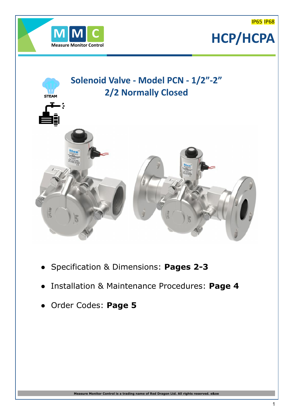IP65 IP68



## **Measure Monitor Control HCP/HCPA**



- **●** Specification & Dimensions: **Pages 2-3**
- Installation & Maintenance Procedures: **Page 4**
- **●** Order Codes: **Page 5**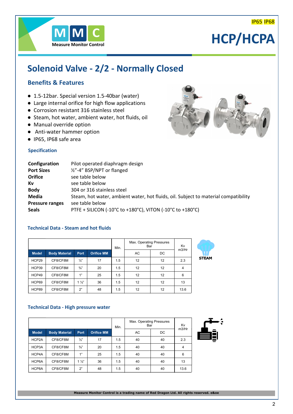

### **HCP/HCPA**

### **Solenoid Valve - 2/2 - Normally Closed**

### **Benefits & Features**

- 1.5-12bar. Special version 1.5-40bar (water)
- Large internal orifice for high flow applications
- Corrosion resistant 316 stainless steel
- Steam, hot water, ambient water, hot fluids, oil
- Manual override option
- Anti-water hammer option
- IP65, IP68 safe area

### **Specification**

| Configuration          | Pilot operated diaphragm design                                                     |
|------------------------|-------------------------------------------------------------------------------------|
| <b>Port Sizes</b>      | 1/2"-4" BSP/NPT or flanged                                                          |
| <b>Orifice</b>         | see table below                                                                     |
| Κv                     | see table below                                                                     |
| <b>Body</b>            | 304 or 316 stainless steel                                                          |
| Media                  | Steam, hot water, ambient water, hot fluids, oil. Subject to material compatibility |
| <b>Pressure ranges</b> | see table below                                                                     |
| <b>Seals</b>           | PTFE + SILICON (-10°C to +180°C), VITON (-10°C to +180°C)                           |
|                        |                                                                                     |

### **Technical Data - Steam and hot fluids**

|              |                      |                |                   |     | Max. Operating Pressures<br>Bar | Kv |       |            |
|--------------|----------------------|----------------|-------------------|-----|---------------------------------|----|-------|------------|
| <b>Model</b> | <b>Body Material</b> | <b>Port</b>    | <b>Orifice MM</b> |     | AC                              | DC | m3/Hr |            |
| HCP29        | CF8/CF8M             | $\frac{1}{2}$  | 17                | 1.5 | 12                              | 12 | 2.3   | <b>STI</b> |
| HCP39        | CF8/CF8M             | $\frac{3}{4}$  | 20                | 1.5 | 12                              | 12 | 4     |            |
| HCP49        | CF8/CF8M             | 1"             | 25                | 1.5 | 12                              | 12 | 6     |            |
| HCP69        | CF8/CF8M             | $1\frac{1}{2}$ | 36                | 1.5 | 12                              | 12 | 13    |            |
| HCP89        | CF8/CF8M             | 2"             | 48                | 1.5 | 12                              | 12 | 13.6  |            |

# **AM**

### **Technical Data - High pressure water**

|              |                      |                |                   |     | Max. Operating Pressures<br>Bar | Kv<br>m3/Hr |                |  |
|--------------|----------------------|----------------|-------------------|-----|---------------------------------|-------------|----------------|--|
| <b>Model</b> | <b>Body Material</b> | <b>Port</b>    | <b>Orifice MM</b> |     | AC                              | DC          |                |  |
| HCP2A        | CF8/CF8M             | $\frac{1}{2}$  | 17                | 1.5 | 40                              | 40          | 2.3            |  |
| HCP3A        | CF8/CF8M             | $\frac{3}{4}$  | 20                | 1.5 | 40                              | 40          | $\overline{4}$ |  |
| HCP4A        | CF8/CF8M             | 1"             | 25                | 1.5 | 40                              | 40          | 6              |  |
| HCP6A        | CF8/CF8M             | $1\frac{1}{2}$ | 36                | 1.5 | 40                              | 40          | 13             |  |
| HCP8A        | CF8/CF8M             | 2"             | 48                | 1.5 | 40                              | 40          | 13.6           |  |

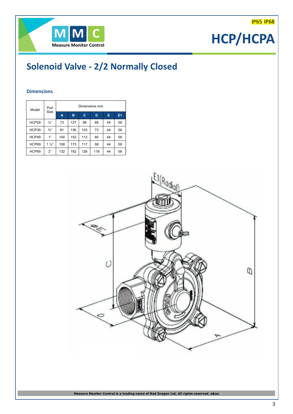### IP65 IP68

### **HCP/HCPA**

### **Solenoid Valve - 2/2 Normally Closed**

### **Dimensions**

| Model | Port<br><b>Size</b> | Dimensions mm |     |     |     |    |                |  |  |
|-------|---------------------|---------------|-----|-----|-----|----|----------------|--|--|
|       |                     | A             | в   | c   | D   | Е  | E <sub>1</sub> |  |  |
| HCP29 | $\frac{1}{2}$       | 73            | 127 | 98  | 68  | 44 | 58             |  |  |
| HCP39 | $\frac{3}{4}$       | 81            | 136 | 103 | 73  | 44 | 58             |  |  |
| HCP49 | 1"                  | 104           | 152 | 112 | 80  | 44 | 58             |  |  |
| HCP69 | $1\frac{1}{2}$      | 108           | 173 | 117 | 98  | 44 | 58             |  |  |
| HCP89 | 2"                  | 132           | 192 | 126 | 116 | 44 | 58             |  |  |

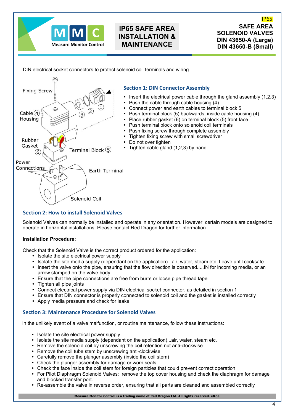

### **IP65 SAFE AREA INSTALLATION & MAINTENANCE**

**SAFE AREA SOLENOID VALVES DIN 43650-A (Large) DIN 43650-B (Small)** IP65

DIN electrical socket connectors to protect solenoid coil terminals and wiring.



### **Section 2: How to install Solenoid Valves**

Solenoid Valves can normally be installed and operate in any orientation. However, certain models are designed to operate in horizontal installations. Please contact Red Dragon for further information.

### **Installation Procedure:**

Check that the Solenoid Valve is the correct product ordered for the application:

- Isolate the site electrical power supply
- ü Isolate the site media supply (dependant on the application)...air, water, steam etc. Leave until cool/safe.
- Insert the valve onto the pipe, ensuring that the flow direction is observed.....IN for incoming media, or an arrow stamped on the valve body.
- ü Ensure that the pipe connections are free from burrs or loose pipe thread tape
- Tighten all pipe joints
- ü Connect electrical power supply via DIN electrical socket connector, as detailed in section 1
- ü Ensure that DIN connector is properly connected to solenoid coil and the gasket is installed correctly
- Apply media pressure and check for leaks

### **Section 3: Maintenance Procedure for Solenoid Valves**

In the unlikely event of a valve malfunction, or routine maintenance, follow these instructions:

- Isolate the site electrical power supply
- ü Isolate the site media supply (dependant on the application)...air, water, steam etc.
- Remove the solenoid coil by unscrewing the coil retention nut anti-clockwise
- Remove the coil tube stem by unscrewing anti-clockwise
- Carefully remove the plunger assembly (inside the coil stem)
- Check the plunger assembly for damage or worn seals
- ü Check the face inside the coil stem for foreign particles that could prevent correct operation
- For Pilot Diaphragm Solenoid Valves: remove the top cover housing and check the diaphragm for damage and blocked transfer port.
- ü Re-assemble the valve in reverse order, ensuring that all parts are cleaned and assembled correctly